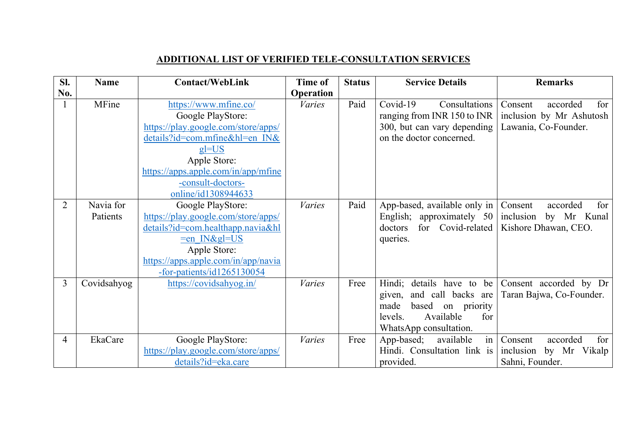## **ADDITIONAL LIST OF VERIFIED TELE-CONSULTATION SERVICES**

| SI.            | <b>Name</b> | <b>Contact/WebLink</b>              | Time of          | <b>Status</b> | <b>Service Details</b>        | <b>Remarks</b>             |
|----------------|-------------|-------------------------------------|------------------|---------------|-------------------------------|----------------------------|
| No.            |             |                                     | <b>Operation</b> |               |                               |                            |
|                | MFine       | https://www.mfine.co/               | <b>Varies</b>    | Paid          | Covid-19<br>Consultations     | for<br>Consent<br>accorded |
|                |             | Google PlayStore:                   |                  |               | ranging from INR 150 to INR   | inclusion by Mr Ashutosh   |
|                |             | https://play.google.com/store/apps/ |                  |               | 300, but can vary depending   | Lawania, Co-Founder.       |
|                |             | details?id=com.mfine&hl=en IN&      |                  |               | on the doctor concerned.      |                            |
|                |             | $gl=US$                             |                  |               |                               |                            |
|                |             | Apple Store:                        |                  |               |                               |                            |
|                |             | https://apps.apple.com/in/app/mfine |                  |               |                               |                            |
|                |             | -consult-doctors-                   |                  |               |                               |                            |
|                |             | online/id1308944633                 |                  |               |                               |                            |
| $\overline{2}$ | Navia for   | Google PlayStore:                   | <b>Varies</b>    | Paid          | App-based, available only in  | Consent<br>accorded<br>for |
|                | Patients    | https://play.google.com/store/apps/ |                  |               | approximately 50<br>English;  | inclusion<br>by Mr Kunal   |
|                |             | details?id=com.healthapp.navia&hl   |                  |               | for Covid-related<br>doctors  | Kishore Dhawan, CEO.       |
|                |             | $=$ en IN≷=US                       |                  |               | queries.                      |                            |
|                |             | Apple Store:                        |                  |               |                               |                            |
|                |             | https://apps.apple.com/in/app/navia |                  |               |                               |                            |
|                |             | $-$ for-patients/id1265130054       |                  |               |                               |                            |
| 3              | Covidsahyog | https://covidsahyog.in/             | <i>Varies</i>    | Free          | Hindi; details have to be     | Consent accorded by Dr     |
|                |             |                                     |                  |               | and call backs are<br>given,  | Taran Bajwa, Co-Founder.   |
|                |             |                                     |                  |               | made<br>based<br>on priority  |                            |
|                |             |                                     |                  |               | Available<br>levels.<br>for   |                            |
|                |             |                                     |                  |               | WhatsApp consultation.        |                            |
| 4              | EkaCare     | Google PlayStore:                   | <b>Varies</b>    | Free          | in<br>App-based;<br>available | Consent<br>for<br>accorded |
|                |             | https://play.google.com/store/apps/ |                  |               | Hindi. Consultation link is   | inclusion<br>by Mr Vikalp  |
|                |             | details?id=eka.care                 |                  |               | provided.                     | Sahni, Founder.            |